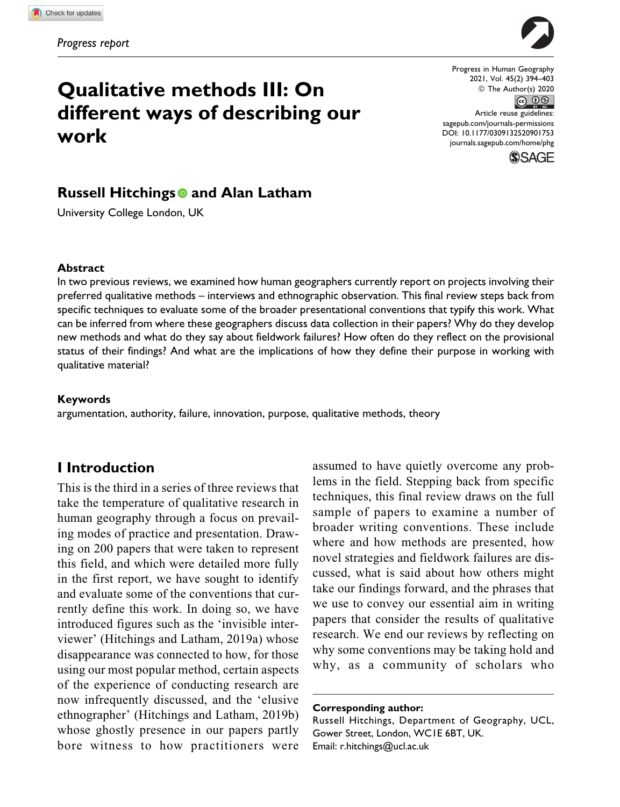# **Qualitative methods III: On different ways of describing our work**



Progress in Human Geography 2021, Vol. 45(2) 394–403  $\circledcirc$  The Author(s) 2020<br> $\circledcirc$ 

Article reuse guidelines: [sagepub.com/journals-permissions](https://sagepub.com/journals-permissions) [DOI: 10.1177/0309132520901753](https://doi.org/10.1177/0309132520901753) [journals.sagepub.com/home/phg](http://journals.sagepub.com/home/phg)



## **Russell Hitchings and Alan Latham**

University College London, UK

### **Abstract**

In two previous reviews, we examined how human geographers currently report on projects involving their preferred qualitative methods – interviews and ethnographic observation. This final review steps back from specific techniques to evaluate some of the broader presentational conventions that typify this work. What can be inferred from where these geographers discuss data collection in their papers? Why do they develop new methods and what do they say about fieldwork failures? How often do they reflect on the provisional status of their findings? And what are the implications of how they define their purpose in working with qualitative material?

### **Keywords**

argumentation, authority, failure, innovation, purpose, qualitative methods, theory

## **I Introduction**

This is the third in a series of three reviews that take the temperature of qualitative research in human geography through a focus on prevailing modes of practice and presentation. Drawing on 200 papers that were taken to represent this field, and which were detailed more fully in the first report, we have sought to identify and evaluate some of the conventions that currently define this work. In doing so, we have introduced figures such as the 'invisible interviewer' (Hitchings and Latham, 2019a) whose disappearance was connected to how, for those using our most popular method, certain aspects of the experience of conducting research are now infrequently discussed, and the 'elusive ethnographer' (Hitchings and Latham, 2019b) whose ghostly presence in our papers partly bore witness to how practitioners were assumed to have quietly overcome any problems in the field. Stepping back from specific techniques, this final review draws on the full sample of papers to examine a number of broader writing conventions. These include where and how methods are presented, how novel strategies and fieldwork failures are discussed, what is said about how others might take our findings forward, and the phrases that we use to convey our essential aim in writing papers that consider the results of qualitative research. We end our reviews by reflecting on why some conventions may be taking hold and why, as a community of scholars who

**Corresponding author:**

Russell Hitchings, Department of Geography, UCL, Gower Street, London, WC1E 6BT, UK. Email: [r.hitchings@ucl.ac.uk](mailto:r.hitchings@ucl.ac.uk)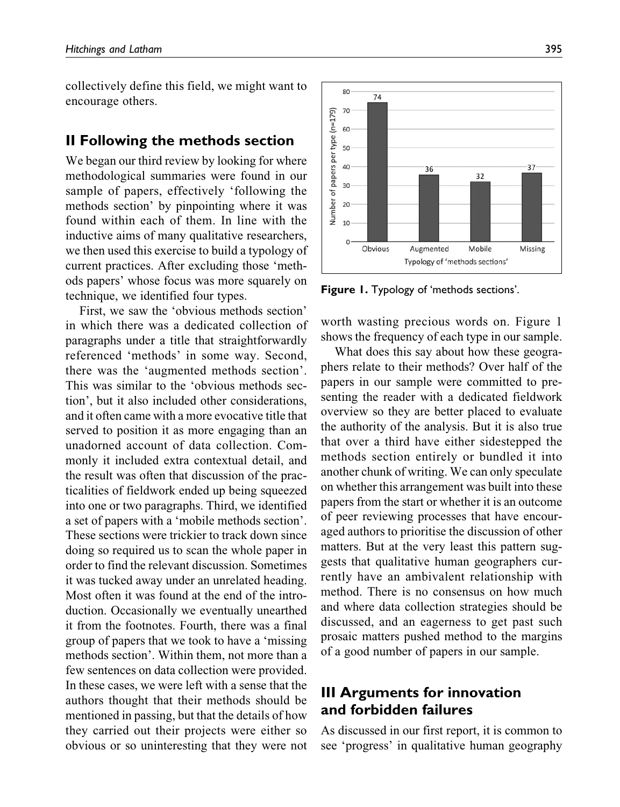collectively define this field, we might want to encourage others.

### **II Following the methods section**

We began our third review by looking for where methodological summaries were found in our sample of papers, effectively 'following the methods section' by pinpointing where it was found within each of them. In line with the inductive aims of many qualitative researchers, we then used this exercise to build a typology of current practices. After excluding those 'methods papers' whose focus was more squarely on technique, we identified four types.

First, we saw the 'obvious methods section' in which there was a dedicated collection of paragraphs under a title that straightforwardly referenced 'methods' in some way. Second, there was the 'augmented methods section'. This was similar to the 'obvious methods section', but it also included other considerations, and it often came with a more evocative title that served to position it as more engaging than an unadorned account of data collection. Commonly it included extra contextual detail, and the result was often that discussion of the practicalities of fieldwork ended up being squeezed into one or two paragraphs. Third, we identified a set of papers with a 'mobile methods section'. These sections were trickier to track down since doing so required us to scan the whole paper in order to find the relevant discussion. Sometimes it was tucked away under an unrelated heading. Most often it was found at the end of the introduction. Occasionally we eventually unearthed it from the footnotes. Fourth, there was a final group of papers that we took to have a 'missing methods section'. Within them, not more than a few sentences on data collection were provided. In these cases, we were left with a sense that the authors thought that their methods should be mentioned in passing, but that the details of how they carried out their projects were either so obvious or so uninteresting that they were not



**Figure 1.** Typology of 'methods sections'.

worth wasting precious words on. Figure 1 shows the frequency of each type in our sample.

What does this say about how these geographers relate to their methods? Over half of the papers in our sample were committed to presenting the reader with a dedicated fieldwork overview so they are better placed to evaluate the authority of the analysis. But it is also true that over a third have either sidestepped the methods section entirely or bundled it into another chunk of writing. We can only speculate on whether this arrangement was built into these papers from the start or whether it is an outcome of peer reviewing processes that have encouraged authors to prioritise the discussion of other matters. But at the very least this pattern suggests that qualitative human geographers currently have an ambivalent relationship with method. There is no consensus on how much and where data collection strategies should be discussed, and an eagerness to get past such prosaic matters pushed method to the margins of a good number of papers in our sample.

# **III Arguments for innovation and forbidden failures**

As discussed in our first report, it is common to see 'progress' in qualitative human geography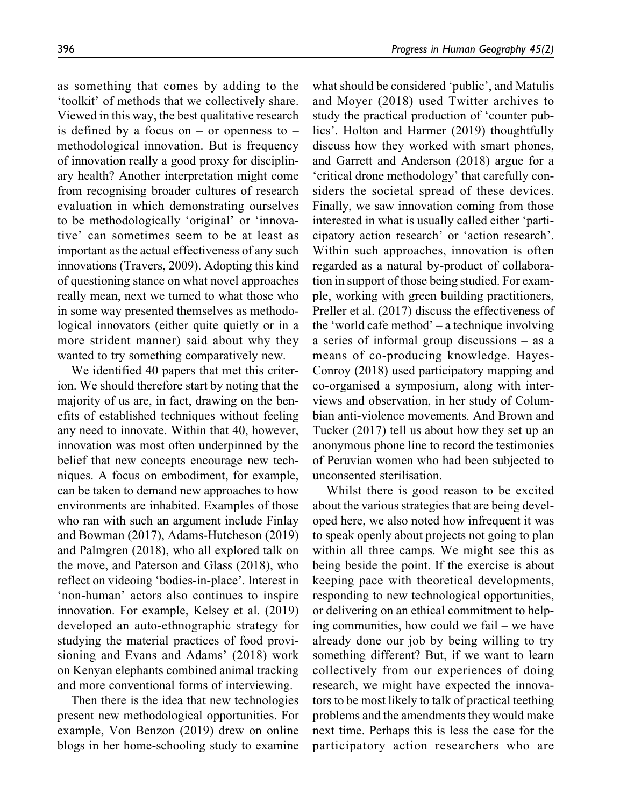as something that comes by adding to the 'toolkit' of methods that we collectively share. Viewed in this way, the best qualitative research is defined by a focus on – or openness to – methodological innovation. But is frequency of innovation really a good proxy for disciplinary health? Another interpretation might come from recognising broader cultures of research evaluation in which demonstrating ourselves to be methodologically 'original' or 'innovative' can sometimes seem to be at least as important as the actual effectiveness of any such innovations (Travers, 2009). Adopting this kind of questioning stance on what novel approaches really mean, next we turned to what those who in some way presented themselves as methodological innovators (either quite quietly or in a more strident manner) said about why they wanted to try something comparatively new.

We identified 40 papers that met this criterion. We should therefore start by noting that the majority of us are, in fact, drawing on the benefits of established techniques without feeling any need to innovate. Within that 40, however, innovation was most often underpinned by the belief that new concepts encourage new techniques. A focus on embodiment, for example, can be taken to demand new approaches to how environments are inhabited. Examples of those who ran with such an argument include Finlay and Bowman (2017), Adams-Hutcheson (2019) and Palmgren (2018), who all explored talk on the move, and Paterson and Glass (2018), who reflect on videoing 'bodies-in-place'. Interest in 'non-human' actors also continues to inspire innovation. For example, Kelsey et al. (2019) developed an auto-ethnographic strategy for studying the material practices of food provisioning and Evans and Adams' (2018) work on Kenyan elephants combined animal tracking and more conventional forms of interviewing.

Then there is the idea that new technologies present new methodological opportunities. For example, Von Benzon (2019) drew on online blogs in her home-schooling study to examine

what should be considered 'public', and Matulis and Moyer (2018) used Twitter archives to study the practical production of 'counter publics'. Holton and Harmer (2019) thoughtfully discuss how they worked with smart phones, and Garrett and Anderson (2018) argue for a 'critical drone methodology' that carefully considers the societal spread of these devices. Finally, we saw innovation coming from those interested in what is usually called either 'participatory action research' or 'action research'. Within such approaches, innovation is often regarded as a natural by-product of collaboration in support of those being studied. For example, working with green building practitioners, Preller et al. (2017) discuss the effectiveness of the 'world cafe method' – a technique involving a series of informal group discussions – as a means of co-producing knowledge. Hayes-Conroy (2018) used participatory mapping and co-organised a symposium, along with interviews and observation, in her study of Columbian anti-violence movements. And Brown and Tucker (2017) tell us about how they set up an anonymous phone line to record the testimonies of Peruvian women who had been subjected to unconsented sterilisation.

Whilst there is good reason to be excited about the various strategies that are being developed here, we also noted how infrequent it was to speak openly about projects not going to plan within all three camps. We might see this as being beside the point. If the exercise is about keeping pace with theoretical developments, responding to new technological opportunities, or delivering on an ethical commitment to helping communities, how could we fail – we have already done our job by being willing to try something different? But, if we want to learn collectively from our experiences of doing research, we might have expected the innovators to be most likely to talk of practical teething problems and the amendments they would make next time. Perhaps this is less the case for the participatory action researchers who are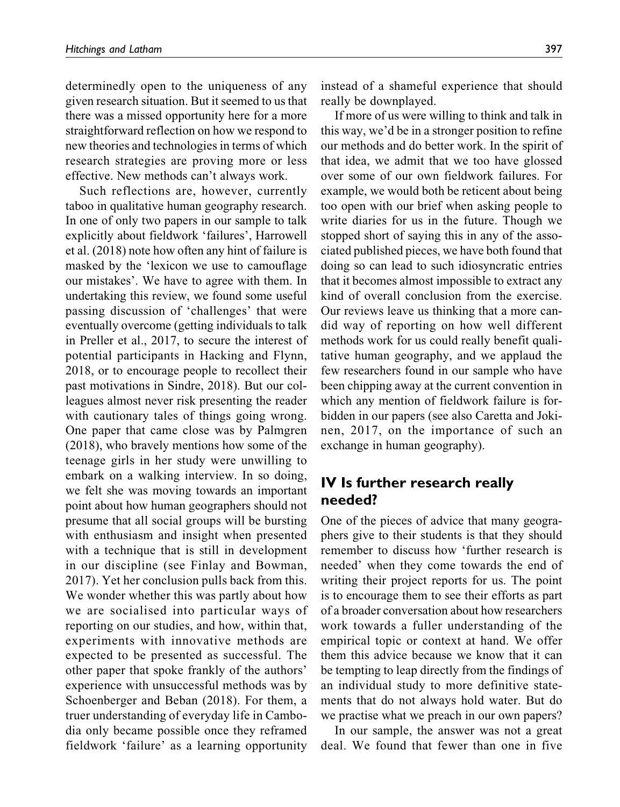determinedly open to the uniqueness of any given research situation. But it seemed to us that there was a missed opportunity here for a more straightforward reflection on how we respond to new theories and technologies in terms of which research strategies are proving more or less effective. New methods can't always work.

Such reflections are, however, currently taboo in qualitative human geography research. In one of only two papers in our sample to talk explicitly about fieldwork 'failures', Harrowell et al. (2018) note how often any hint of failure is masked by the 'lexicon we use to camouflage our mistakes'. We have to agree with them. In undertaking this review, we found some useful passing discussion of 'challenges' that were eventually overcome (getting individuals to talk in Preller et al., 2017, to secure the interest of potential participants in Hacking and Flynn, 2018, or to encourage people to recollect their past motivations in Sindre, 2018). But our colleagues almost never risk presenting the reader with cautionary tales of things going wrong. One paper that came close was by Palmgren (2018), who bravely mentions how some of the teenage girls in her study were unwilling to embark on a walking interview. In so doing, we felt she was moving towards an important point about how human geographers should not presume that all social groups will be bursting with enthusiasm and insight when presented with a technique that is still in development in our discipline (see Finlay and Bowman, 2017). Yet her conclusion pulls back from this. We wonder whether this was partly about how we are socialised into particular ways of reporting on our studies, and how, within that, experiments with innovative methods are expected to be presented as successful. The other paper that spoke frankly of the authors' experience with unsuccessful methods was by Schoenberger and Beban (2018). For them, a truer understanding of everyday life in Cambodia only became possible once they reframed fieldwork 'failure' as a learning opportunity

instead of a shameful experience that should really be downplayed.

If more of us were willing to think and talk in this way, we'd be in a stronger position to refine our methods and do better work. In the spirit of that idea, we admit that we too have glossed over some of our own fieldwork failures. For example, we would both be reticent about being too open with our brief when asking people to write diaries for us in the future. Though we stopped short of saying this in any of the associated published pieces, we have both found that doing so can lead to such idiosyncratic entries that it becomes almost impossible to extract any kind of overall conclusion from the exercise. Our reviews leave us thinking that a more candid way of reporting on how well different methods work for us could really benefit qualitative human geography, and we applaud the few researchers found in our sample who have been chipping away at the current convention in which any mention of fieldwork failure is forbidden in our papers (see also Caretta and Jokinen, 2017, on the importance of such an exchange in human geography).

# **IV Is further research really needed?**

One of the pieces of advice that many geographers give to their students is that they should remember to discuss how 'further research is needed' when they come towards the end of writing their project reports for us. The point is to encourage them to see their efforts as part of a broader conversation about how researchers work towards a fuller understanding of the empirical topic or context at hand. We offer them this advice because we know that it can be tempting to leap directly from the findings of an individual study to more definitive statements that do not always hold water. But do we practise what we preach in our own papers?

In our sample, the answer was not a great deal. We found that fewer than one in five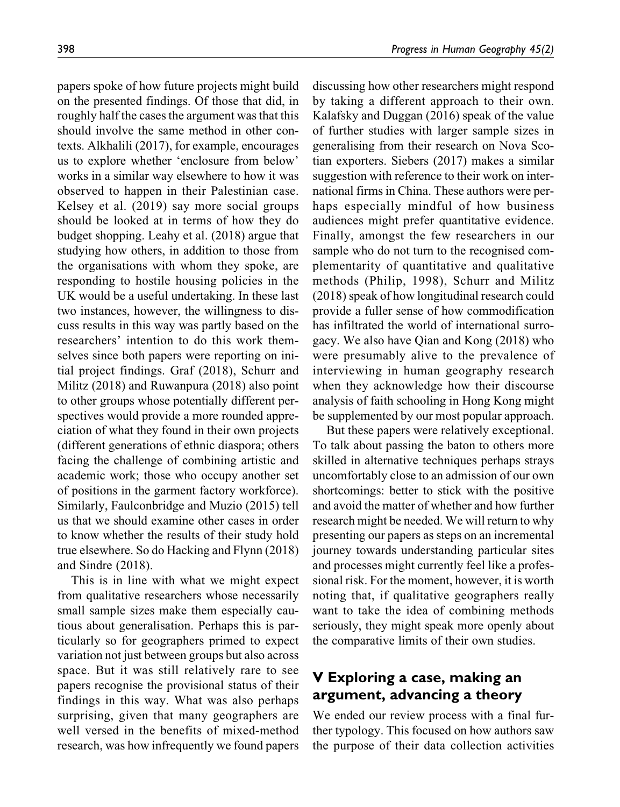papers spoke of how future projects might build on the presented findings. Of those that did, in roughly half the cases the argument was that this should involve the same method in other contexts. Alkhalili (2017), for example, encourages us to explore whether 'enclosure from below' works in a similar way elsewhere to how it was observed to happen in their Palestinian case. Kelsey et al. (2019) say more social groups should be looked at in terms of how they do budget shopping. Leahy et al. (2018) argue that studying how others, in addition to those from the organisations with whom they spoke, are responding to hostile housing policies in the UK would be a useful undertaking. In these last two instances, however, the willingness to discuss results in this way was partly based on the researchers' intention to do this work themselves since both papers were reporting on initial project findings. Graf (2018), Schurr and Militz (2018) and Ruwanpura (2018) also point to other groups whose potentially different perspectives would provide a more rounded appreciation of what they found in their own projects (different generations of ethnic diaspora; others facing the challenge of combining artistic and academic work; those who occupy another set of positions in the garment factory workforce). Similarly, Faulconbridge and Muzio (2015) tell us that we should examine other cases in order to know whether the results of their study hold true elsewhere. So do Hacking and Flynn (2018) and Sindre (2018).

This is in line with what we might expect from qualitative researchers whose necessarily small sample sizes make them especially cautious about generalisation. Perhaps this is particularly so for geographers primed to expect variation not just between groups but also across space. But it was still relatively rare to see papers recognise the provisional status of their findings in this way. What was also perhaps surprising, given that many geographers are well versed in the benefits of mixed-method research, was how infrequently we found papers discussing how other researchers might respond by taking a different approach to their own. Kalafsky and Duggan (2016) speak of the value of further studies with larger sample sizes in generalising from their research on Nova Scotian exporters. Siebers (2017) makes a similar suggestion with reference to their work on international firms in China. These authors were perhaps especially mindful of how business audiences might prefer quantitative evidence. Finally, amongst the few researchers in our sample who do not turn to the recognised complementarity of quantitative and qualitative methods (Philip, 1998), Schurr and Militz (2018) speak of how longitudinal research could provide a fuller sense of how commodification has infiltrated the world of international surrogacy. We also have Qian and Kong (2018) who were presumably alive to the prevalence of interviewing in human geography research when they acknowledge how their discourse analysis of faith schooling in Hong Kong might be supplemented by our most popular approach.

But these papers were relatively exceptional. To talk about passing the baton to others more skilled in alternative techniques perhaps strays uncomfortably close to an admission of our own shortcomings: better to stick with the positive and avoid the matter of whether and how further research might be needed. We will return to why presenting our papers as steps on an incremental journey towards understanding particular sites and processes might currently feel like a professional risk. For the moment, however, it is worth noting that, if qualitative geographers really want to take the idea of combining methods seriously, they might speak more openly about the comparative limits of their own studies.

# **V Exploring a case, making an argument, advancing a theory**

We ended our review process with a final further typology. This focused on how authors saw the purpose of their data collection activities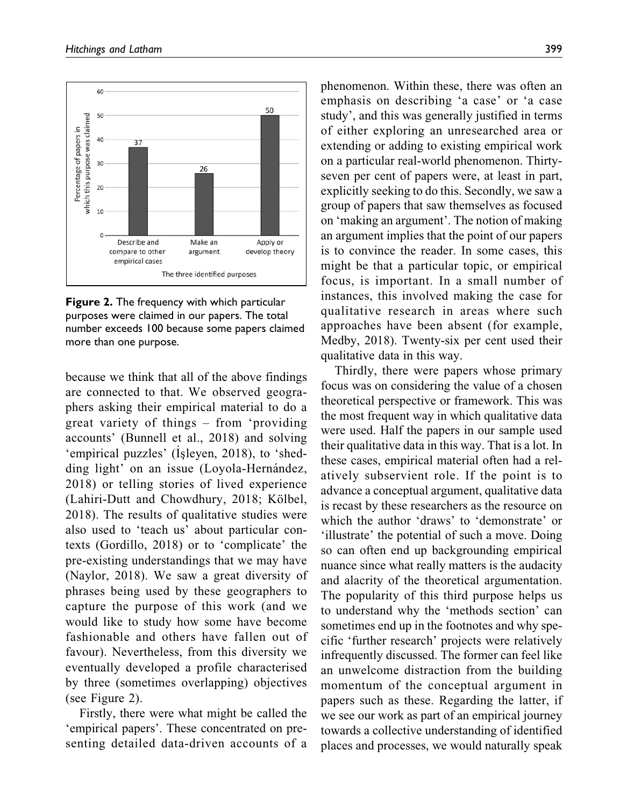

**Figure 2.** The frequency with which particular purposes were claimed in our papers. The total number exceeds 100 because some papers claimed more than one purpose.

because we think that all of the above findings are connected to that. We observed geographers asking their empirical material to do a great variety of things – from 'providing accounts' (Bunnell et al., 2018) and solving 'empirical puzzles' (İşleyen, 2018), to 'shedding light' on an issue (Loyola-Hernández, 2018) or telling stories of lived experience (Lahiri-Dutt and Chowdhury, 2018; Kölbel, 2018). The results of qualitative studies were also used to 'teach us' about particular contexts (Gordillo, 2018) or to 'complicate' the pre-existing understandings that we may have (Naylor, 2018). We saw a great diversity of phrases being used by these geographers to capture the purpose of this work (and we would like to study how some have become fashionable and others have fallen out of favour). Nevertheless, from this diversity we eventually developed a profile characterised by three (sometimes overlapping) objectives (see Figure 2).

Firstly, there were what might be called the 'empirical papers'. These concentrated on presenting detailed data-driven accounts of a phenomenon. Within these, there was often an emphasis on describing 'a case' or 'a case study', and this was generally justified in terms of either exploring an unresearched area or extending or adding to existing empirical work on a particular real-world phenomenon. Thirtyseven per cent of papers were, at least in part, explicitly seeking to do this. Secondly, we saw a group of papers that saw themselves as focused on 'making an argument'. The notion of making an argument implies that the point of our papers is to convince the reader. In some cases, this might be that a particular topic, or empirical focus, is important. In a small number of instances, this involved making the case for qualitative research in areas where such approaches have been absent (for example, Medby, 2018). Twenty-six per cent used their qualitative data in this way.

Thirdly, there were papers whose primary focus was on considering the value of a chosen theoretical perspective or framework. This was the most frequent way in which qualitative data were used. Half the papers in our sample used their qualitative data in this way. That is a lot. In these cases, empirical material often had a relatively subservient role. If the point is to advance a conceptual argument, qualitative data is recast by these researchers as the resource on which the author 'draws' to 'demonstrate' or 'illustrate' the potential of such a move. Doing so can often end up backgrounding empirical nuance since what really matters is the audacity and alacrity of the theoretical argumentation. The popularity of this third purpose helps us to understand why the 'methods section' can sometimes end up in the footnotes and why specific 'further research' projects were relatively infrequently discussed. The former can feel like an unwelcome distraction from the building momentum of the conceptual argument in papers such as these. Regarding the latter, if we see our work as part of an empirical journey towards a collective understanding of identified places and processes, we would naturally speak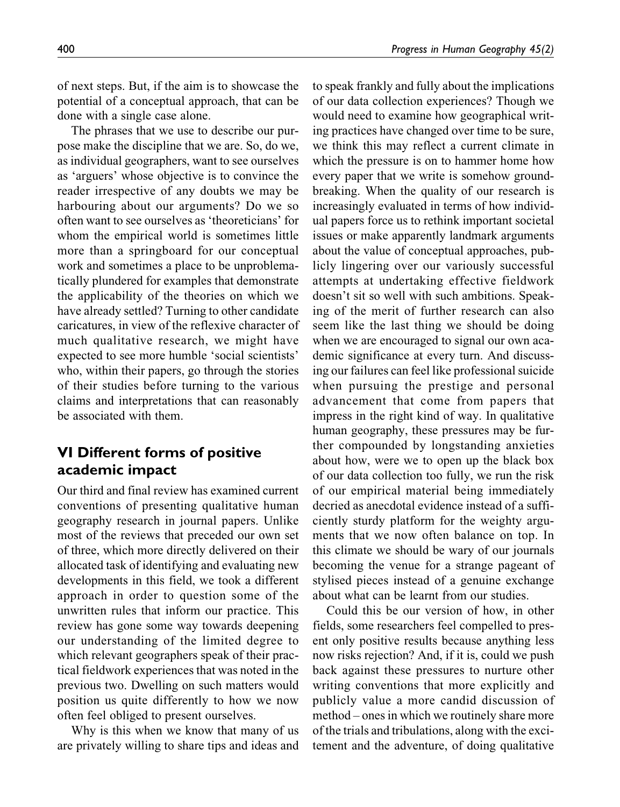of next steps. But, if the aim is to showcase the potential of a conceptual approach, that can be done with a single case alone.

The phrases that we use to describe our purpose make the discipline that we are. So, do we, as individual geographers, want to see ourselves as 'arguers' whose objective is to convince the reader irrespective of any doubts we may be harbouring about our arguments? Do we so often want to see ourselves as 'theoreticians' for whom the empirical world is sometimes little more than a springboard for our conceptual work and sometimes a place to be unproblematically plundered for examples that demonstrate the applicability of the theories on which we have already settled? Turning to other candidate caricatures, in view of the reflexive character of much qualitative research, we might have expected to see more humble 'social scientists' who, within their papers, go through the stories of their studies before turning to the various claims and interpretations that can reasonably be associated with them.

### **VI Different forms of positive academic impact**

Our third and final review has examined current conventions of presenting qualitative human geography research in journal papers. Unlike most of the reviews that preceded our own set of three, which more directly delivered on their allocated task of identifying and evaluating new developments in this field, we took a different approach in order to question some of the unwritten rules that inform our practice. This review has gone some way towards deepening our understanding of the limited degree to which relevant geographers speak of their practical fieldwork experiences that was noted in the previous two. Dwelling on such matters would position us quite differently to how we now often feel obliged to present ourselves.

Why is this when we know that many of us are privately willing to share tips and ideas and to speak frankly and fully about the implications of our data collection experiences? Though we would need to examine how geographical writing practices have changed over time to be sure, we think this may reflect a current climate in which the pressure is on to hammer home how every paper that we write is somehow groundbreaking. When the quality of our research is increasingly evaluated in terms of how individual papers force us to rethink important societal issues or make apparently landmark arguments about the value of conceptual approaches, publicly lingering over our variously successful attempts at undertaking effective fieldwork doesn't sit so well with such ambitions. Speaking of the merit of further research can also seem like the last thing we should be doing when we are encouraged to signal our own academic significance at every turn. And discussing our failures can feel like professional suicide when pursuing the prestige and personal advancement that come from papers that impress in the right kind of way. In qualitative human geography, these pressures may be further compounded by longstanding anxieties about how, were we to open up the black box of our data collection too fully, we run the risk of our empirical material being immediately decried as anecdotal evidence instead of a sufficiently sturdy platform for the weighty arguments that we now often balance on top. In this climate we should be wary of our journals becoming the venue for a strange pageant of stylised pieces instead of a genuine exchange about what can be learnt from our studies.

Could this be our version of how, in other fields, some researchers feel compelled to present only positive results because anything less now risks rejection? And, if it is, could we push back against these pressures to nurture other writing conventions that more explicitly and publicly value a more candid discussion of method – ones in which we routinely share more of the trials and tribulations, along with the excitement and the adventure, of doing qualitative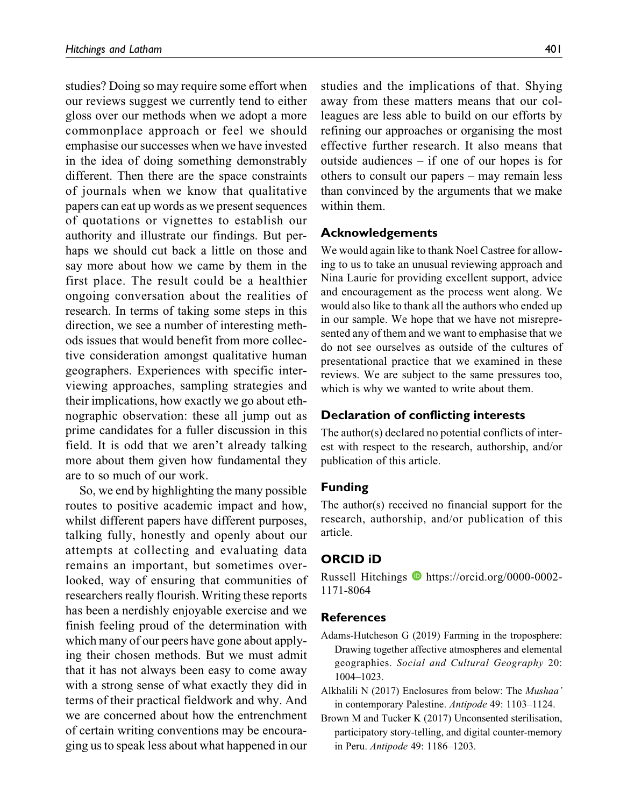studies? Doing so may require some effort when our reviews suggest we currently tend to either gloss over our methods when we adopt a more commonplace approach or feel we should emphasise our successes when we have invested in the idea of doing something demonstrably different. Then there are the space constraints of journals when we know that qualitative papers can eat up words as we present sequences of quotations or vignettes to establish our authority and illustrate our findings. But perhaps we should cut back a little on those and say more about how we came by them in the first place. The result could be a healthier ongoing conversation about the realities of research. In terms of taking some steps in this direction, we see a number of interesting methods issues that would benefit from more collective consideration amongst qualitative human geographers. Experiences with specific interviewing approaches, sampling strategies and their implications, how exactly we go about ethnographic observation: these all jump out as prime candidates for a fuller discussion in this field. It is odd that we aren't already talking more about them given how fundamental they are to so much of our work.

So, we end by highlighting the many possible routes to positive academic impact and how, whilst different papers have different purposes, talking fully, honestly and openly about our attempts at collecting and evaluating data remains an important, but sometimes overlooked, way of ensuring that communities of researchers really flourish. Writing these reports has been a nerdishly enjoyable exercise and we finish feeling proud of the determination with which many of our peers have gone about applying their chosen methods. But we must admit that it has not always been easy to come away with a strong sense of what exactly they did in terms of their practical fieldwork and why. And we are concerned about how the entrenchment of certain writing conventions may be encouraging us to speak less about what happened in our

studies and the implications of that. Shying away from these matters means that our colleagues are less able to build on our efforts by refining our approaches or organising the most effective further research. It also means that outside audiences – if one of our hopes is for others to consult our papers – may remain less than convinced by the arguments that we make within them.

### **Acknowledgements**

We would again like to thank Noel Castree for allowing to us to take an unusual reviewing approach and Nina Laurie for providing excellent support, advice and encouragement as the process went along. We would also like to thank all the authors who ended up in our sample. We hope that we have not misrepresented any of them and we want to emphasise that we do not see ourselves as outside of the cultures of presentational practice that we examined in these reviews. We are subject to the same pressures too, which is why we wanted to write about them.

### **Declaration of conflicting interests**

The author(s) declared no potential conflicts of interest with respect to the research, authorship, and/or publication of this article.

#### **Funding**

The author(s) received no financial support for the research, authorship, and/or publication of this article.

### **ORCID iD**

Russell Hitchings  $\bullet$  [https://orcid.org/0000-0002-](https://orcid.org/0000-0002-1171-8064) [1171-8064](https://orcid.org/0000-0002-1171-8064)

### **References**

- Adams-Hutcheson G (2019) Farming in the troposphere: Drawing together affective atmospheres and elemental geographies. Social and Cultural Geography 20: 1004–1023.
- Alkhalili N (2017) Enclosures from below: The Mushaa' in contemporary Palestine. Antipode 49: 1103–1124.
- Brown M and Tucker K (2017) Unconsented sterilisation, participatory story-telling, and digital counter-memory in Peru. Antipode 49: 1186–1203.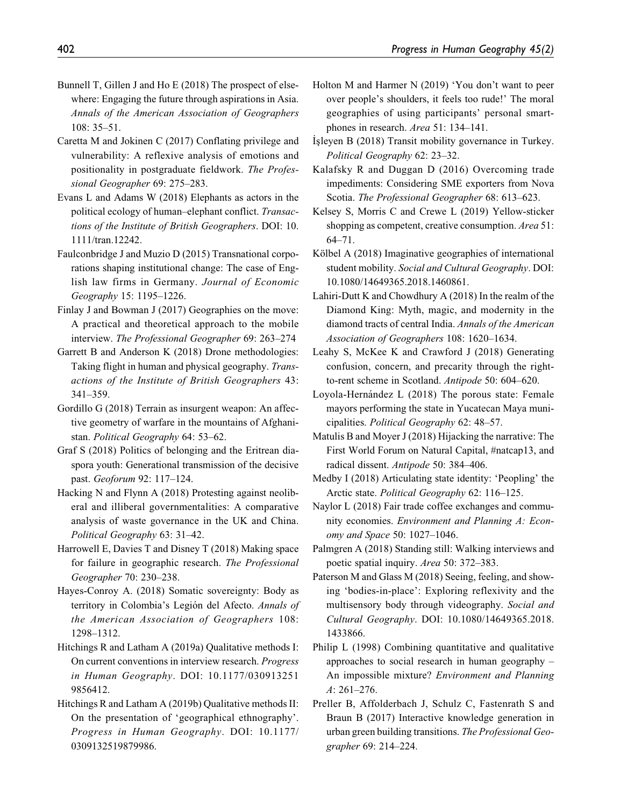- Bunnell T, Gillen J and Ho E (2018) The prospect of elsewhere: Engaging the future through aspirations in Asia. Annals of the American Association of Geographers 108: 35–51.
- Caretta M and Jokinen C (2017) Conflating privilege and vulnerability: A reflexive analysis of emotions and positionality in postgraduate fieldwork. The Professional Geographer 69: 275–283.
- Evans L and Adams W (2018) Elephants as actors in the political ecology of human–elephant conflict. Transactions of the Institute of British Geographers. DOI: 10. 1111/tran.12242.
- Faulconbridge J and Muzio D (2015) Transnational corporations shaping institutional change: The case of English law firms in Germany. Journal of Economic Geography 15: 1195–1226.
- Finlay J and Bowman J (2017) Geographies on the move: A practical and theoretical approach to the mobile interview. The Professional Geographer 69: 263–274
- Garrett B and Anderson K (2018) Drone methodologies: Taking flight in human and physical geography. Transactions of the Institute of British Geographers 43: 341–359.
- Gordillo G (2018) Terrain as insurgent weapon: An affective geometry of warfare in the mountains of Afghanistan. Political Geography 64: 53–62.
- Graf S (2018) Politics of belonging and the Eritrean diaspora youth: Generational transmission of the decisive past. Geoforum 92: 117–124.
- Hacking N and Flynn A (2018) Protesting against neoliberal and illiberal governmentalities: A comparative analysis of waste governance in the UK and China. Political Geography 63: 31–42.
- Harrowell E, Davies T and Disney T (2018) Making space for failure in geographic research. The Professional Geographer 70: 230–238.
- Hayes-Conroy A. (2018) Somatic sovereignty: Body as territory in Colombia's Legión del Afecto. Annals of the American Association of Geographers 108: 1298–1312.
- Hitchings R and Latham A (2019a) Qualitative methods I: On current conventions in interview research. Progress in Human Geography. DOI: 10.1177/030913251 9856412.
- Hitchings R and Latham A (2019b) Qualitative methods II: On the presentation of 'geographical ethnography'. Progress in Human Geography. DOI: 10.1177/ 0309132519879986.
- Holton M and Harmer N (2019) 'You don't want to peer over people's shoulders, it feels too rude!' The moral geographies of using participants' personal smartphones in research. Area 51: 134–141.
- \_ Is¸leyen B (2018) Transit mobility governance in Turkey. Political Geography 62: 23–32.
- Kalafsky R and Duggan D (2016) Overcoming trade impediments: Considering SME exporters from Nova Scotia. The Professional Geographer 68: 613–623.
- Kelsey S, Morris C and Crewe L (2019) Yellow-sticker shopping as competent, creative consumption. Area 51: 64–71.
- Kölbel A (2018) Imaginative geographies of international student mobility. Social and Cultural Geography. DOI: 10.1080/14649365.2018.1460861.
- Lahiri-Dutt K and Chowdhury A (2018) In the realm of the Diamond King: Myth, magic, and modernity in the diamond tracts of central India. Annals of the American Association of Geographers 108: 1620–1634.
- Leahy S, McKee K and Crawford J (2018) Generating confusion, concern, and precarity through the rightto-rent scheme in Scotland. Antipode 50: 604–620.
- Loyola-Hernández L (2018) The porous state: Female mayors performing the state in Yucatecan Maya municipalities. Political Geography 62: 48–57.
- Matulis B and Moyer J (2018) Hijacking the narrative: The First World Forum on Natural Capital, #natcap13, and radical dissent. Antipode 50: 384–406.
- Medby I (2018) Articulating state identity: 'Peopling' the Arctic state. Political Geography 62: 116–125.
- Naylor L (2018) Fair trade coffee exchanges and community economies. Environment and Planning A: Economy and Space 50: 1027–1046.
- Palmgren A (2018) Standing still: Walking interviews and poetic spatial inquiry. Area 50: 372–383.
- Paterson M and Glass M (2018) Seeing, feeling, and showing 'bodies-in-place': Exploring reflexivity and the multisensory body through videography. Social and Cultural Geography. DOI: 10.1080/14649365.2018. 1433866.
- Philip L (1998) Combining quantitative and qualitative approaches to social research in human geography – An impossible mixture? Environment and Planning A: 261–276.
- Preller B, Affolderbach J, Schulz C, Fastenrath S and Braun B (2017) Interactive knowledge generation in urban green building transitions. The Professional Geographer 69: 214–224.